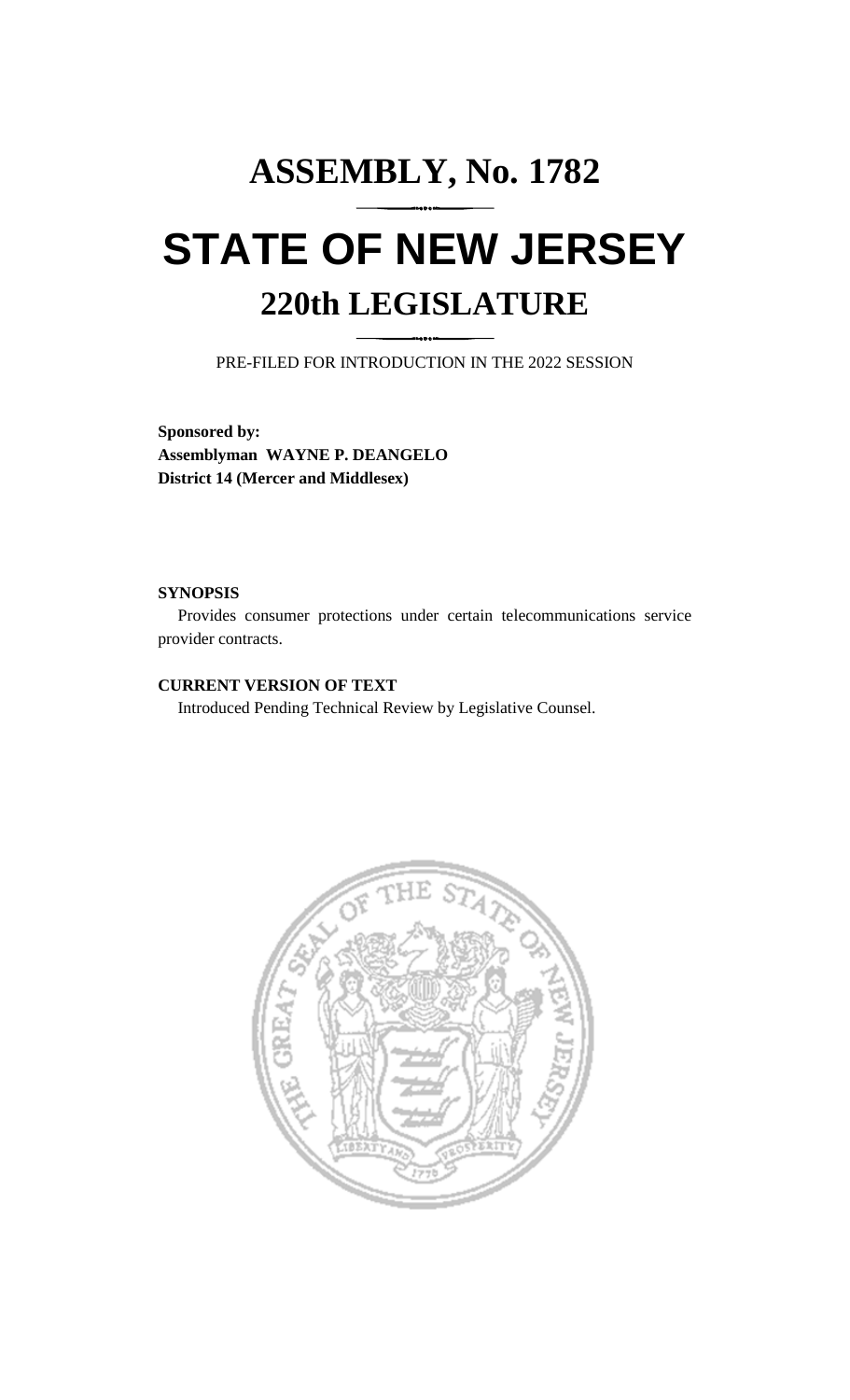# **ASSEMBLY, No. 1782 STATE OF NEW JERSEY 220th LEGISLATURE**

PRE-FILED FOR INTRODUCTION IN THE 2022 SESSION

**Sponsored by: Assemblyman WAYNE P. DEANGELO District 14 (Mercer and Middlesex)**

#### **SYNOPSIS**

Provides consumer protections under certain telecommunications service provider contracts.

## **CURRENT VERSION OF TEXT**

Introduced Pending Technical Review by Legislative Counsel.

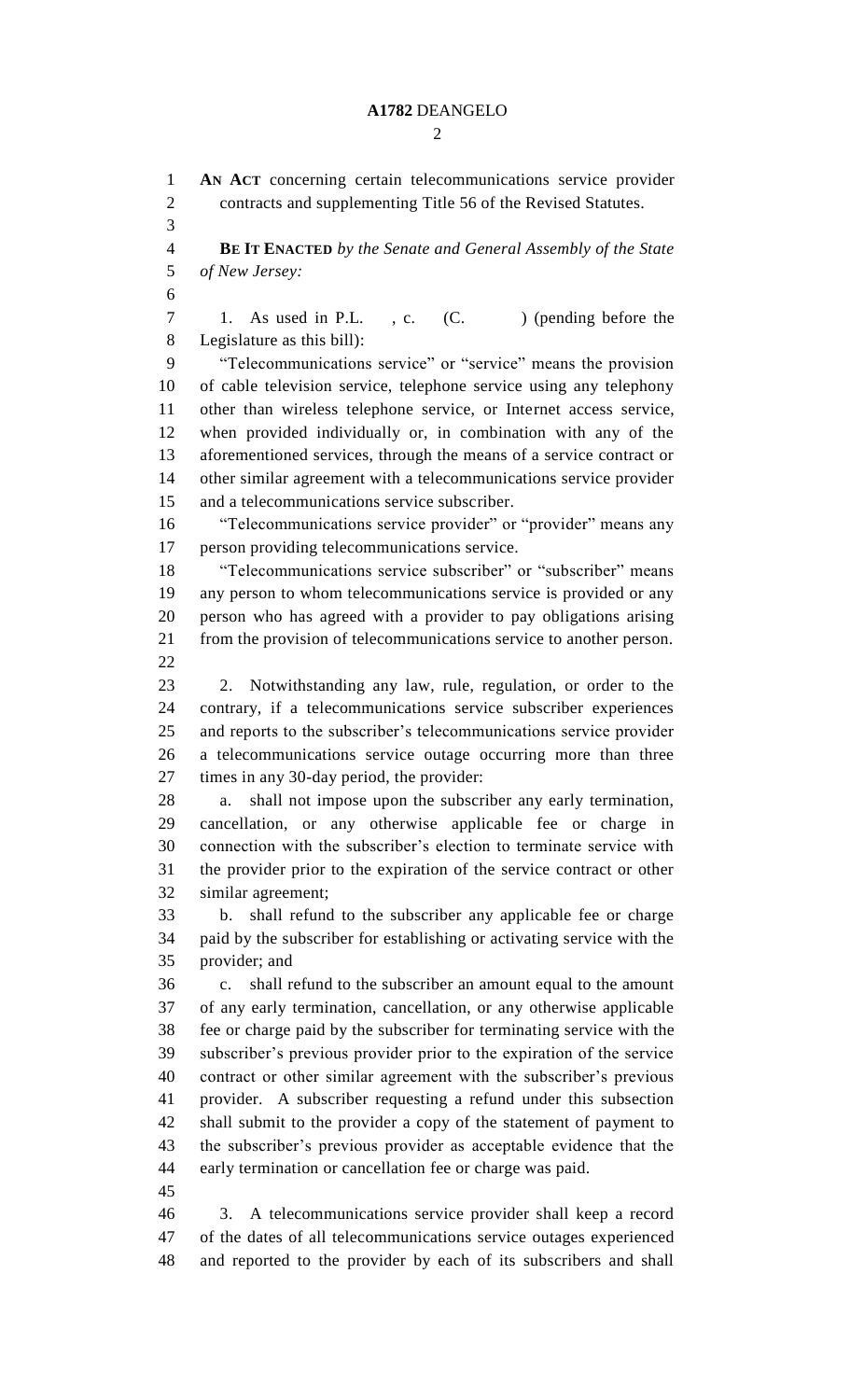#### **A1782** DEANGELO

 $\mathcal{D}$ 

 **AN ACT** concerning certain telecommunications service provider contracts and supplementing Title 56 of the Revised Statutes. **BE IT ENACTED** *by the Senate and General Assembly of the State of New Jersey:* 7 1. As used in P.L., c. (C. ) (pending before the Legislature as this bill): "Telecommunications service" or "service" means the provision of cable television service, telephone service using any telephony other than wireless telephone service, or Internet access service, when provided individually or, in combination with any of the aforementioned services, through the means of a service contract or other similar agreement with a telecommunications service provider and a telecommunications service subscriber. "Telecommunications service provider" or "provider" means any person providing telecommunications service. "Telecommunications service subscriber" or "subscriber" means any person to whom telecommunications service is provided or any person who has agreed with a provider to pay obligations arising from the provision of telecommunications service to another person. 2. Notwithstanding any law, rule, regulation, or order to the contrary, if a telecommunications service subscriber experiences and reports to the subscriber's telecommunications service provider a telecommunications service outage occurring more than three times in any 30-day period, the provider: a. shall not impose upon the subscriber any early termination, cancellation, or any otherwise applicable fee or charge in connection with the subscriber's election to terminate service with the provider prior to the expiration of the service contract or other similar agreement; b. shall refund to the subscriber any applicable fee or charge paid by the subscriber for establishing or activating service with the provider; and c. shall refund to the subscriber an amount equal to the amount of any early termination, cancellation, or any otherwise applicable fee or charge paid by the subscriber for terminating service with the subscriber's previous provider prior to the expiration of the service contract or other similar agreement with the subscriber's previous provider. A subscriber requesting a refund under this subsection shall submit to the provider a copy of the statement of payment to the subscriber's previous provider as acceptable evidence that the early termination or cancellation fee or charge was paid. 3. A telecommunications service provider shall keep a record of the dates of all telecommunications service outages experienced and reported to the provider by each of its subscribers and shall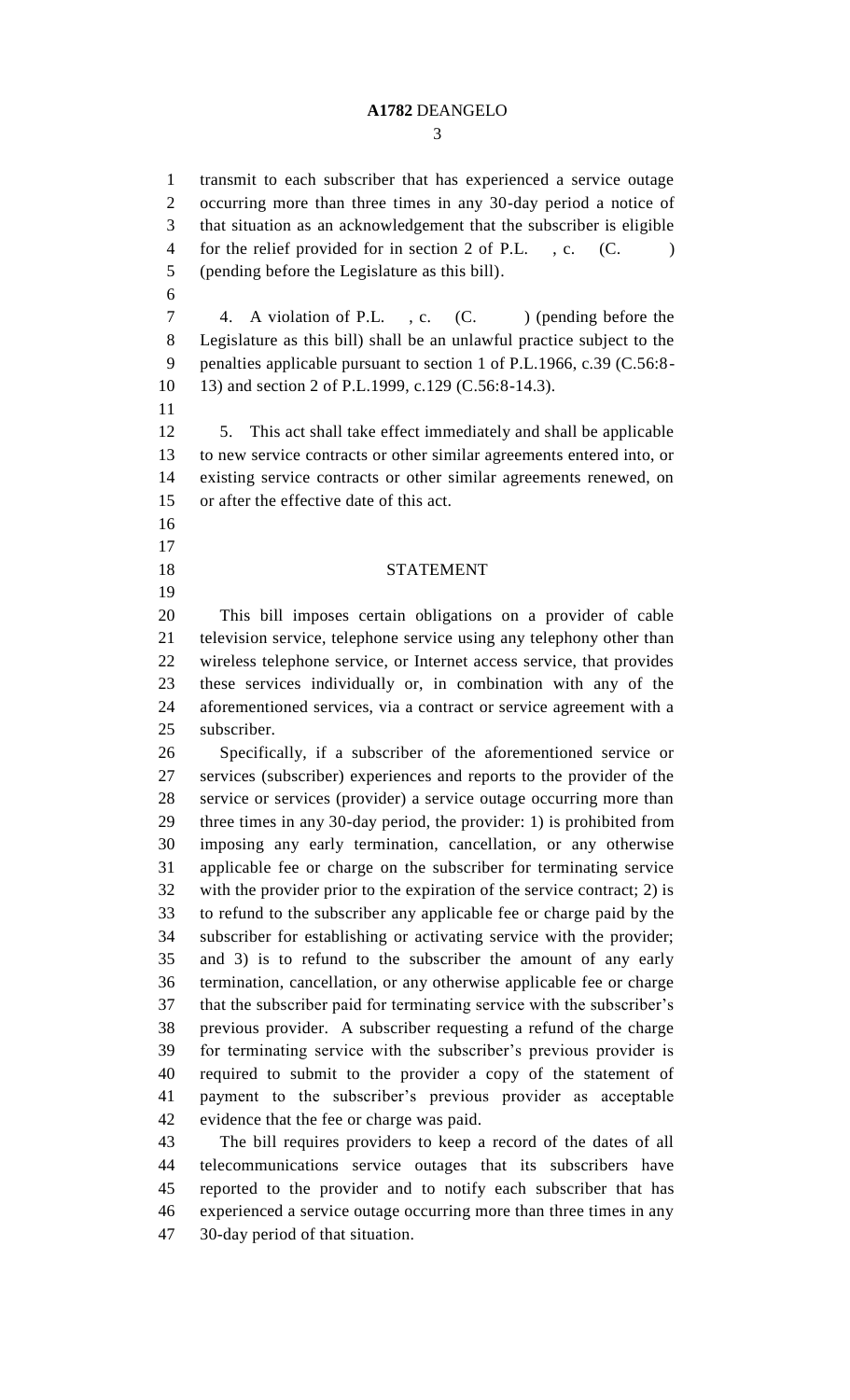#### **A1782** DEANGELO

 transmit to each subscriber that has experienced a service outage occurring more than three times in any 30-day period a notice of that situation as an acknowledgement that the subscriber is eligible 4 for the relief provided for in section 2 of P.L., c. (C.) (pending before the Legislature as this bill). 

7 4. A violation of P.L., c. (C. ) (pending before the Legislature as this bill) shall be an unlawful practice subject to the penalties applicable pursuant to section 1 of P.L.1966, c.39 (C.56:8- 13) and section 2 of P.L.1999, c.129 (C.56:8-14.3).

 5. This act shall take effect immediately and shall be applicable to new service contracts or other similar agreements entered into, or existing service contracts or other similar agreements renewed, on or after the effective date of this act.

- 
- 
- 
- 

# STATEMENT

 This bill imposes certain obligations on a provider of cable television service, telephone service using any telephony other than wireless telephone service, or Internet access service, that provides these services individually or, in combination with any of the aforementioned services, via a contract or service agreement with a subscriber.

 Specifically, if a subscriber of the aforementioned service or services (subscriber) experiences and reports to the provider of the service or services (provider) a service outage occurring more than three times in any 30-day period, the provider: 1) is prohibited from imposing any early termination, cancellation, or any otherwise applicable fee or charge on the subscriber for terminating service with the provider prior to the expiration of the service contract; 2) is to refund to the subscriber any applicable fee or charge paid by the subscriber for establishing or activating service with the provider; and 3) is to refund to the subscriber the amount of any early termination, cancellation, or any otherwise applicable fee or charge that the subscriber paid for terminating service with the subscriber's previous provider. A subscriber requesting a refund of the charge for terminating service with the subscriber's previous provider is required to submit to the provider a copy of the statement of payment to the subscriber's previous provider as acceptable evidence that the fee or charge was paid.

 The bill requires providers to keep a record of the dates of all telecommunications service outages that its subscribers have reported to the provider and to notify each subscriber that has experienced a service outage occurring more than three times in any 30-day period of that situation.